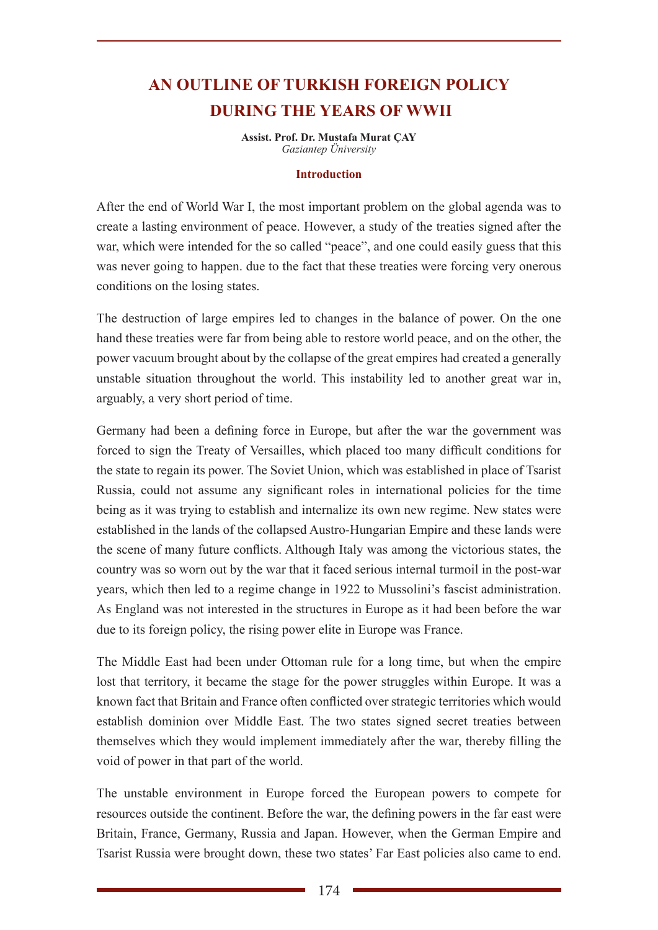# **AN OUTLINE OF TURKISH FOREIGN POLICY DURING THE YEARS OF WWII**

**Assist. Prof. Dr. Mustafa Murat ÇAY** *Gaziantep Üniversity*

#### **Introduction**

After the end of World War I, the most important problem on the global agenda was to create a lasting environment of peace. However, a study of the treaties signed after the war, which were intended for the so called "peace", and one could easily guess that this was never going to happen. due to the fact that these treaties were forcing very onerous conditions on the losing states.

The destruction of large empires led to changes in the balance of power. On the one hand these treaties were far from being able to restore world peace, and on the other, the power vacuum brought about by the collapse of the great empires had created a generally unstable situation throughout the world. This instability led to another great war in, arguably, a very short period of time.

Germany had been a defining force in Europe, but after the war the government was forced to sign the Treaty of Versailles, which placed too many difficult conditions for the state to regain its power. The Soviet Union, which was established in place of Tsarist Russia, could not assume any significant roles in international policies for the time being as it was trying to establish and internalize its own new regime. New states were established in the lands of the collapsed Austro-Hungarian Empire and these lands were the scene of many future conflicts. Although Italy was among the victorious states, the country was so worn out by the war that it faced serious internal turmoil in the post-war years, which then led to a regime change in 1922 to Mussolini's fascist administration. As England was not interested in the structures in Europe as it had been before the war due to its foreign policy, the rising power elite in Europe was France.

The Middle East had been under Ottoman rule for a long time, but when the empire lost that territory, it became the stage for the power struggles within Europe. It was a known fact that Britain and France often conflicted over strategic territories which would establish dominion over Middle East. The two states signed secret treaties between themselves which they would implement immediately after the war, thereby filling the void of power in that part of the world.

The unstable environment in Europe forced the European powers to compete for resources outside the continent. Before the war, the defining powers in the far east were Britain, France, Germany, Russia and Japan. However, when the German Empire and Tsarist Russia were brought down, these two states' Far East policies also came to end.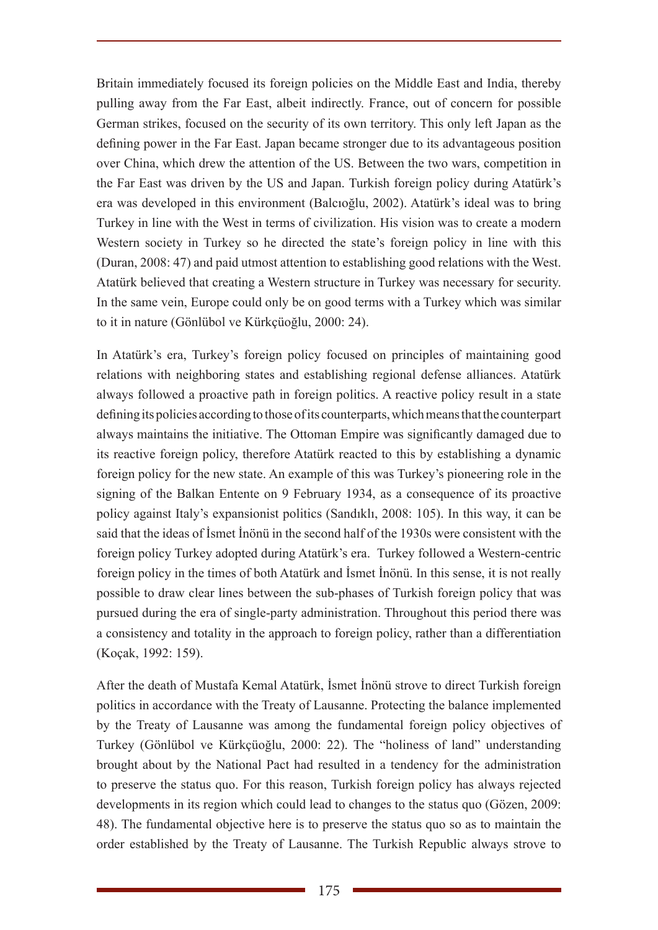Britain immediately focused its foreign policies on the Middle East and India, thereby pulling away from the Far East, albeit indirectly. France, out of concern for possible German strikes, focused on the security of its own territory. This only left Japan as the defining power in the Far East. Japan became stronger due to its advantageous position over China, which drew the attention of the US. Between the two wars, competition in the Far East was driven by the US and Japan. Turkish foreign policy during Atatürk's era was developed in this environment (Balcıoğlu, 2002). Atatürk's ideal was to bring Turkey in line with the West in terms of civilization. His vision was to create a modern Western society in Turkey so he directed the state's foreign policy in line with this (Duran, 2008: 47) and paid utmost attention to establishing good relations with the West. Atatürk believed that creating a Western structure in Turkey was necessary for security. In the same vein, Europe could only be on good terms with a Turkey which was similar to it in nature (Gönlübol ve Kürkçüoğlu, 2000: 24).

In Atatürk's era, Turkey's foreign policy focused on principles of maintaining good relations with neighboring states and establishing regional defense alliances. Atatürk always followed a proactive path in foreign politics. A reactive policy result in a state defining its policies according to those of its counterparts, which means that the counterpart always maintains the initiative. The Ottoman Empire was significantly damaged due to its reactive foreign policy, therefore Atatürk reacted to this by establishing a dynamic foreign policy for the new state. An example of this was Turkey's pioneering role in the signing of the Balkan Entente on 9 February 1934, as a consequence of its proactive policy against Italy's expansionist politics (Sandıklı, 2008: 105). In this way, it can be said that the ideas of İsmet İnönü in the second half of the 1930s were consistent with the foreign policy Turkey adopted during Atatürk's era. Turkey followed a Western-centric foreign policy in the times of both Atatürk and İsmet İnönü. In this sense, it is not really possible to draw clear lines between the sub-phases of Turkish foreign policy that was pursued during the era of single-party administration. Throughout this period there was a consistency and totality in the approach to foreign policy, rather than a differentiation (Koçak, 1992: 159).

After the death of Mustafa Kemal Atatürk, İsmet İnönü strove to direct Turkish foreign politics in accordance with the Treaty of Lausanne. Protecting the balance implemented by the Treaty of Lausanne was among the fundamental foreign policy objectives of Turkey (Gönlübol ve Kürkçüoğlu, 2000: 22). The "holiness of land" understanding brought about by the National Pact had resulted in a tendency for the administration to preserve the status quo. For this reason, Turkish foreign policy has always rejected developments in its region which could lead to changes to the status quo (Gözen, 2009: 48). The fundamental objective here is to preserve the status quo so as to maintain the order established by the Treaty of Lausanne. The Turkish Republic always strove to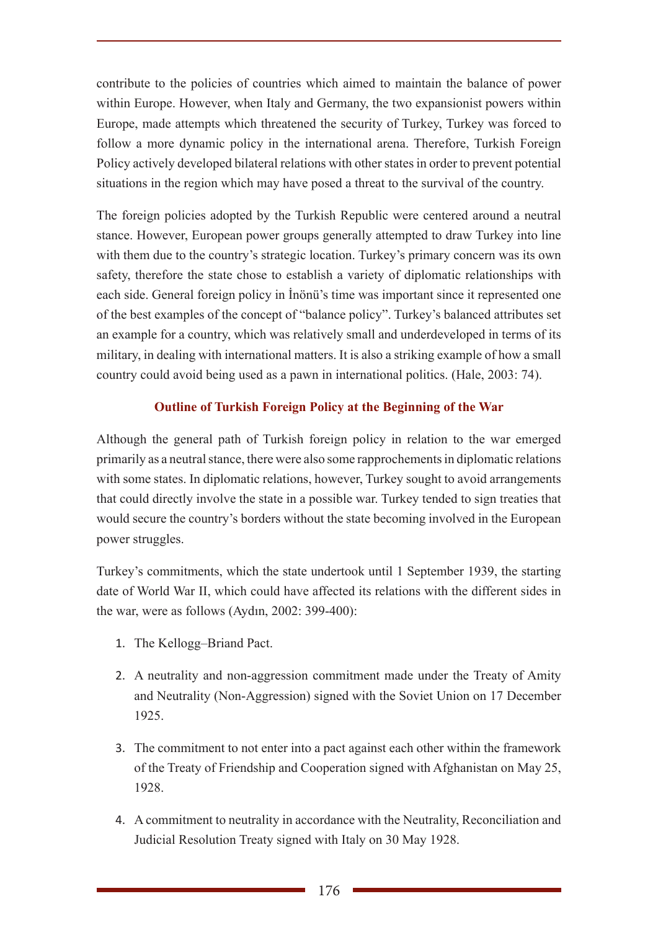contribute to the policies of countries which aimed to maintain the balance of power within Europe. However, when Italy and Germany, the two expansionist powers within Europe, made attempts which threatened the security of Turkey, Turkey was forced to follow a more dynamic policy in the international arena. Therefore, Turkish Foreign Policy actively developed bilateral relations with other states in order to prevent potential situations in the region which may have posed a threat to the survival of the country.

The foreign policies adopted by the Turkish Republic were centered around a neutral stance. However, European power groups generally attempted to draw Turkey into line with them due to the country's strategic location. Turkey's primary concern was its own safety, therefore the state chose to establish a variety of diplomatic relationships with each side. General foreign policy in İnönü's time was important since it represented one of the best examples of the concept of "balance policy". Turkey's balanced attributes set an example for a country, which was relatively small and underdeveloped in terms of its military, in dealing with international matters. It is also a striking example of how a small country could avoid being used as a pawn in international politics. (Hale, 2003: 74).

### **Outline of Turkish Foreign Policy at the Beginning of the War**

Although the general path of Turkish foreign policy in relation to the war emerged primarily as a neutral stance, there were also some rapprochements in diplomatic relations with some states. In diplomatic relations, however, Turkey sought to avoid arrangements that could directly involve the state in a possible war. Turkey tended to sign treaties that would secure the country's borders without the state becoming involved in the European power struggles.

Turkey's commitments, which the state undertook until 1 September 1939, the starting date of World War II, which could have affected its relations with the different sides in the war, were as follows (Aydın, 2002: 399-400):

- 1. The Kellogg–Briand Pact.
- 2. A neutrality and non-aggression commitment made under the Treaty of Amity and Neutrality (Non-Aggression) signed with the Soviet Union on 17 December 1925.
- 3. The commitment to not enter into a pact against each other within the framework of the Treaty of Friendship and Cooperation signed with Afghanistan on May 25, 1928.
- 4. A commitment to neutrality in accordance with the Neutrality, Reconciliation and Judicial Resolution Treaty signed with Italy on 30 May 1928.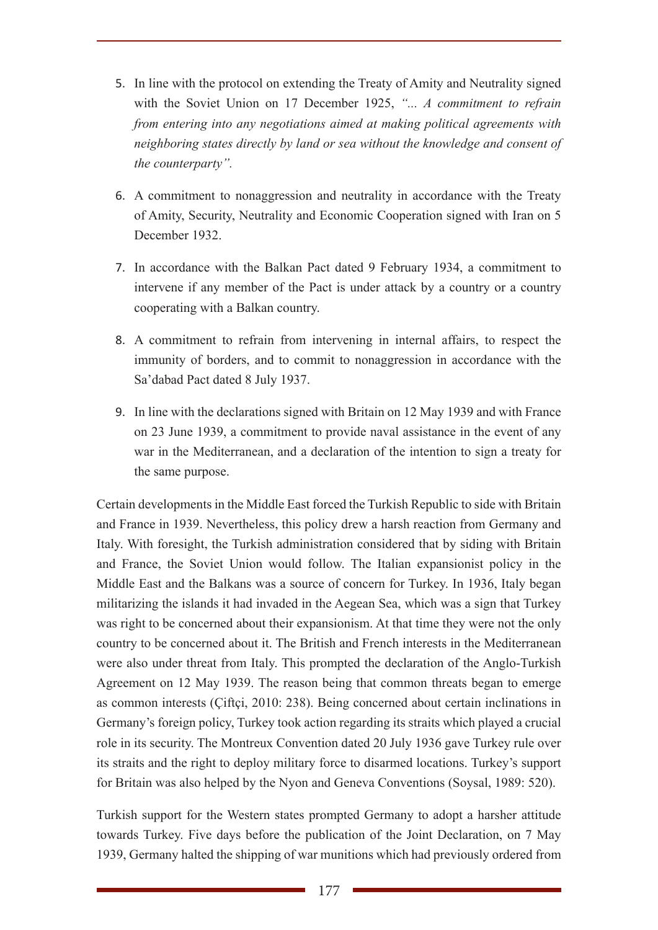- 5. In line with the protocol on extending the Treaty of Amity and Neutrality signed with the Soviet Union on 17 December 1925, *"... A commitment to refrain from entering into any negotiations aimed at making political agreements with neighboring states directly by land or sea without the knowledge and consent of the counterparty".*
- 6. A commitment to nonaggression and neutrality in accordance with the Treaty of Amity, Security, Neutrality and Economic Cooperation signed with Iran on 5 December 1932.
- 7. In accordance with the Balkan Pact dated 9 February 1934, a commitment to intervene if any member of the Pact is under attack by a country or a country cooperating with a Balkan country.
- 8. A commitment to refrain from intervening in internal affairs, to respect the immunity of borders, and to commit to nonaggression in accordance with the Sa'dabad Pact dated 8 July 1937.
- 9. In line with the declarations signed with Britain on 12 May 1939 and with France on 23 June 1939, a commitment to provide naval assistance in the event of any war in the Mediterranean, and a declaration of the intention to sign a treaty for the same purpose.

Certain developments in the Middle East forced the Turkish Republic to side with Britain and France in 1939. Nevertheless, this policy drew a harsh reaction from Germany and Italy. With foresight, the Turkish administration considered that by siding with Britain and France, the Soviet Union would follow. The Italian expansionist policy in the Middle East and the Balkans was a source of concern for Turkey. In 1936, Italy began militarizing the islands it had invaded in the Aegean Sea, which was a sign that Turkey was right to be concerned about their expansionism. At that time they were not the only country to be concerned about it. The British and French interests in the Mediterranean were also under threat from Italy. This prompted the declaration of the Anglo-Turkish Agreement on 12 May 1939. The reason being that common threats began to emerge as common interests (Çiftçi, 2010: 238). Being concerned about certain inclinations in Germany's foreign policy, Turkey took action regarding its straits which played a crucial role in its security. The Montreux Convention dated 20 July 1936 gave Turkey rule over its straits and the right to deploy military force to disarmed locations. Turkey's support for Britain was also helped by the Nyon and Geneva Conventions (Soysal, 1989: 520).

Turkish support for the Western states prompted Germany to adopt a harsher attitude towards Turkey. Five days before the publication of the Joint Declaration, on 7 May 1939, Germany halted the shipping of war munitions which had previously ordered from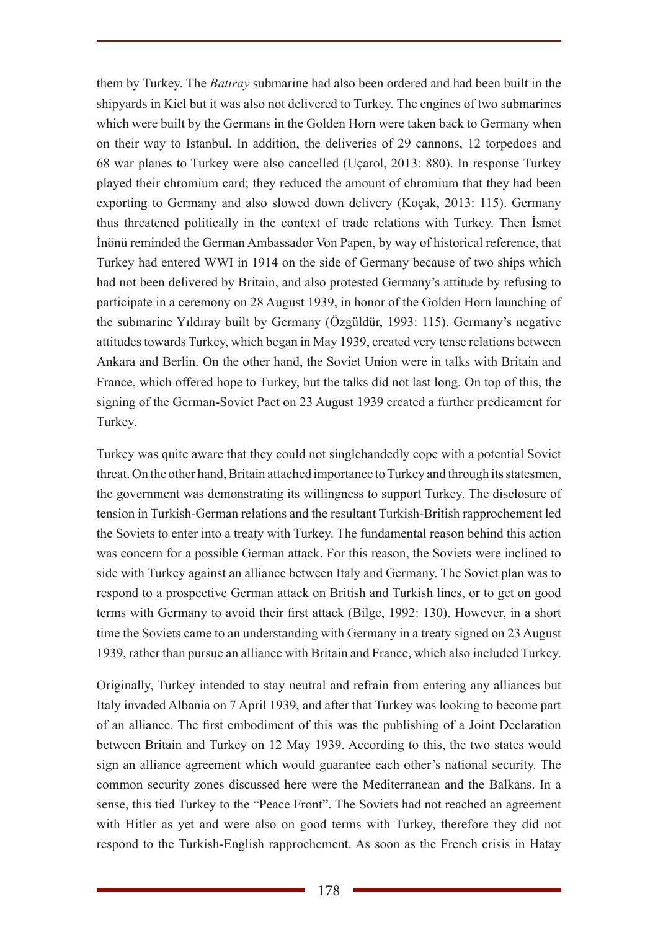them by Turkey. The *Batıray* submarine had also been ordered and had been built in the shipyards in Kiel but it was also not delivered to Turkey. The engines of two submarines which were built by the Germans in the Golden Horn were taken back to Germany when on their way to Istanbul. In addition, the deliveries of 29 cannons, 12 torpedoes and 68 war planes to Turkey were also cancelled (Uçarol, 2013: 880). In response Turkey played their chromium card; they reduced the amount of chromium that they had been exporting to Germany and also slowed down delivery (Koçak, 2013: 115). Germany thus threatened politically in the context of trade relations with Turkey. Then İsmet İnönü reminded the German Ambassador Von Papen, by way of historical reference, that Turkey had entered WWI in 1914 on the side of Germany because of two ships which had not been delivered by Britain, and also protested Germany's attitude by refusing to participate in a ceremony on 28 August 1939, in honor of the Golden Horn launching of the submarine Yıldıray built by Germany (Özgüldür, 1993: 115). Germany's negative attitudes towards Turkey, which began in May 1939, created very tense relations between Ankara and Berlin. On the other hand, the Soviet Union were in talks with Britain and France, which offered hope to Turkey, but the talks did not last long. On top of this, the signing of the German-Soviet Pact on 23 August 1939 created a further predicament for Turkey.

Turkey was quite aware that they could not singlehandedly cope with a potential Soviet threat. On the other hand, Britain attached importance to Turkey and through its statesmen, the government was demonstrating its willingness to support Turkey. The disclosure of tension in Turkish-German relations and the resultant Turkish-British rapprochement led the Soviets to enter into a treaty with Turkey. The fundamental reason behind this action was concern for a possible German attack. For this reason, the Soviets were inclined to side with Turkey against an alliance between Italy and Germany. The Soviet plan was to respond to a prospective German attack on British and Turkish lines, or to get on good terms with Germany to avoid their first attack (Bilge, 1992: 130). However, in a short time the Soviets came to an understanding with Germany in a treaty signed on 23 August 1939, rather than pursue an alliance with Britain and France, which also included Turkey.

Originally, Turkey intended to stay neutral and refrain from entering any alliances but Italy invaded Albania on 7 April 1939, and after that Turkey was looking to become part of an alliance. The first embodiment of this was the publishing of a Joint Declaration between Britain and Turkey on 12 May 1939. According to this, the two states would sign an alliance agreement which would guarantee each other's national security. The common security zones discussed here were the Mediterranean and the Balkans. In a sense, this tied Turkey to the "Peace Front". The Soviets had not reached an agreement with Hitler as yet and were also on good terms with Turkey, therefore they did not respond to the Turkish-English rapprochement. As soon as the French crisis in Hatay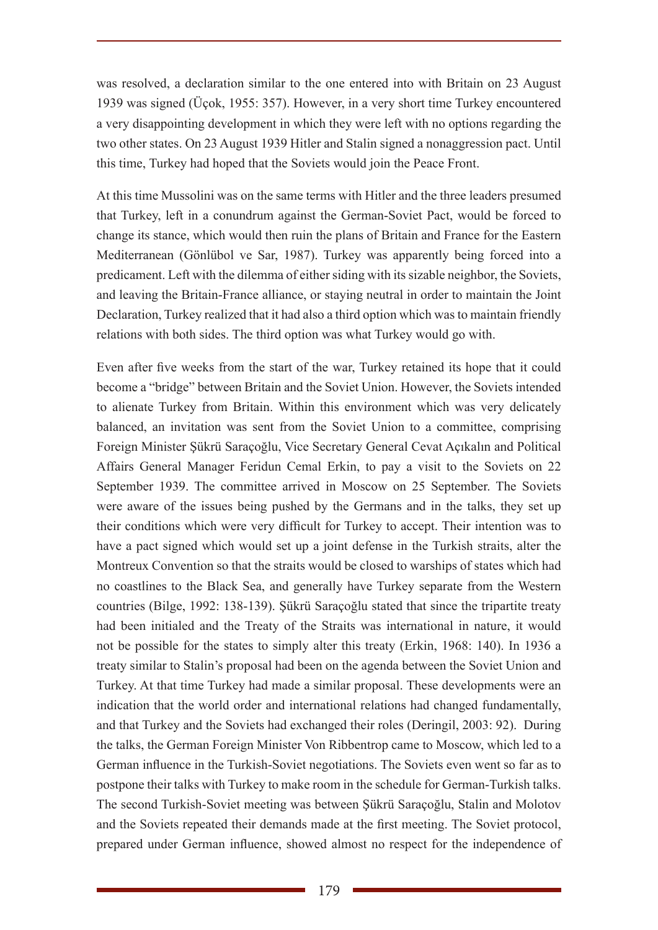was resolved, a declaration similar to the one entered into with Britain on 23 August 1939 was signed (Üçok, 1955: 357). However, in a very short time Turkey encountered a very disappointing development in which they were left with no options regarding the two other states. On 23 August 1939 Hitler and Stalin signed a nonaggression pact. Until this time, Turkey had hoped that the Soviets would join the Peace Front.

At this time Mussolini was on the same terms with Hitler and the three leaders presumed that Turkey, left in a conundrum against the German-Soviet Pact, would be forced to change its stance, which would then ruin the plans of Britain and France for the Eastern Mediterranean (Gönlübol ve Sar, 1987). Turkey was apparently being forced into a predicament. Left with the dilemma of either siding with its sizable neighbor, the Soviets, and leaving the Britain-France alliance, or staying neutral in order to maintain the Joint Declaration, Turkey realized that it had also a third option which was to maintain friendly relations with both sides. The third option was what Turkey would go with.

Even after five weeks from the start of the war, Turkey retained its hope that it could become a "bridge" between Britain and the Soviet Union. However, the Soviets intended to alienate Turkey from Britain. Within this environment which was very delicately balanced, an invitation was sent from the Soviet Union to a committee, comprising Foreign Minister Şükrü Saraçoğlu, Vice Secretary General Cevat Açıkalın and Political Affairs General Manager Feridun Cemal Erkin, to pay a visit to the Soviets on 22 September 1939. The committee arrived in Moscow on 25 September. The Soviets were aware of the issues being pushed by the Germans and in the talks, they set up their conditions which were very difficult for Turkey to accept. Their intention was to have a pact signed which would set up a joint defense in the Turkish straits, alter the Montreux Convention so that the straits would be closed to warships of states which had no coastlines to the Black Sea, and generally have Turkey separate from the Western countries (Bilge, 1992: 138-139). Şükrü Saraçoğlu stated that since the tripartite treaty had been initialed and the Treaty of the Straits was international in nature, it would not be possible for the states to simply alter this treaty (Erkin, 1968: 140). In 1936 a treaty similar to Stalin's proposal had been on the agenda between the Soviet Union and Turkey. At that time Turkey had made a similar proposal. These developments were an indication that the world order and international relations had changed fundamentally, and that Turkey and the Soviets had exchanged their roles (Deringil, 2003: 92). During the talks, the German Foreign Minister Von Ribbentrop came to Moscow, which led to a German influence in the Turkish-Soviet negotiations. The Soviets even went so far as to postpone their talks with Turkey to make room in the schedule for German-Turkish talks. The second Turkish-Soviet meeting was between Şükrü Saraçoğlu, Stalin and Molotov and the Soviets repeated their demands made at the first meeting. The Soviet protocol, prepared under German influence, showed almost no respect for the independence of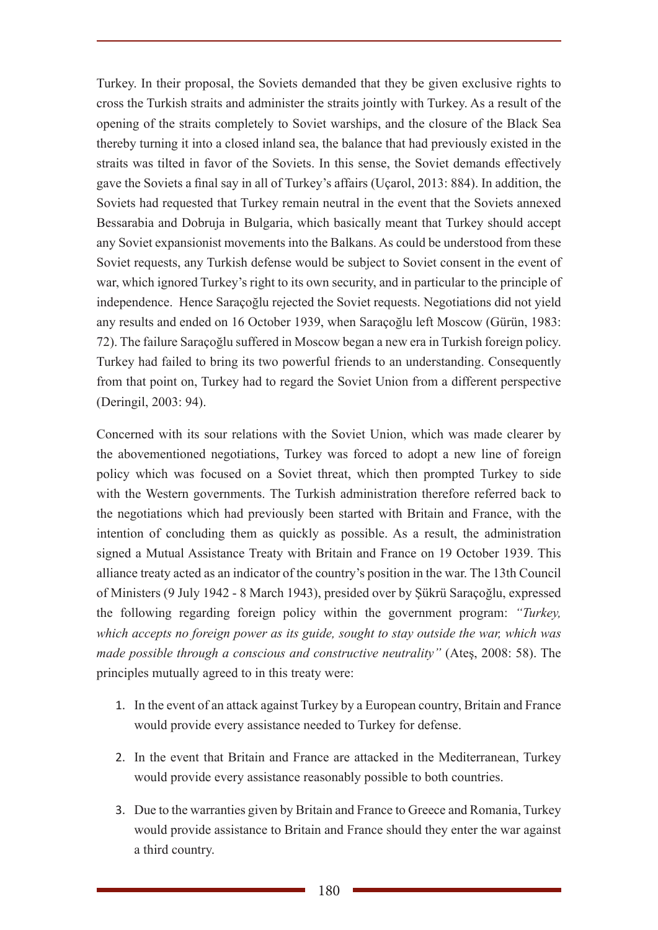Turkey. In their proposal, the Soviets demanded that they be given exclusive rights to cross the Turkish straits and administer the straits jointly with Turkey. As a result of the opening of the straits completely to Soviet warships, and the closure of the Black Sea thereby turning it into a closed inland sea, the balance that had previously existed in the straits was tilted in favor of the Soviets. In this sense, the Soviet demands effectively gave the Soviets a final say in all of Turkey's affairs (Uçarol, 2013: 884). In addition, the Soviets had requested that Turkey remain neutral in the event that the Soviets annexed Bessarabia and Dobruja in Bulgaria, which basically meant that Turkey should accept any Soviet expansionist movements into the Balkans. As could be understood from these Soviet requests, any Turkish defense would be subject to Soviet consent in the event of war, which ignored Turkey's right to its own security, and in particular to the principle of independence. Hence Saraçoğlu rejected the Soviet requests. Negotiations did not yield any results and ended on 16 October 1939, when Saraçoğlu left Moscow (Gürün, 1983: 72). The failure Saraçoğlu suffered in Moscow began a new era in Turkish foreign policy. Turkey had failed to bring its two powerful friends to an understanding. Consequently from that point on, Turkey had to regard the Soviet Union from a different perspective (Deringil, 2003: 94).

Concerned with its sour relations with the Soviet Union, which was made clearer by the abovementioned negotiations, Turkey was forced to adopt a new line of foreign policy which was focused on a Soviet threat, which then prompted Turkey to side with the Western governments. The Turkish administration therefore referred back to the negotiations which had previously been started with Britain and France, with the intention of concluding them as quickly as possible. As a result, the administration signed a Mutual Assistance Treaty with Britain and France on 19 October 1939. This alliance treaty acted as an indicator of the country's position in the war. The 13th Council of Ministers (9 July 1942 - 8 March 1943), presided over by Şükrü Saraçoğlu, expressed the following regarding foreign policy within the government program: *"Turkey, which accepts no foreign power as its guide, sought to stay outside the war, which was made possible through a conscious and constructive neutrality"* (Ateş, 2008: 58). The principles mutually agreed to in this treaty were:

- 1. In the event of an attack against Turkey by a European country, Britain and France would provide every assistance needed to Turkey for defense.
- 2. In the event that Britain and France are attacked in the Mediterranean, Turkey would provide every assistance reasonably possible to both countries.
- 3. Due to the warranties given by Britain and France to Greece and Romania, Turkey would provide assistance to Britain and France should they enter the war against a third country.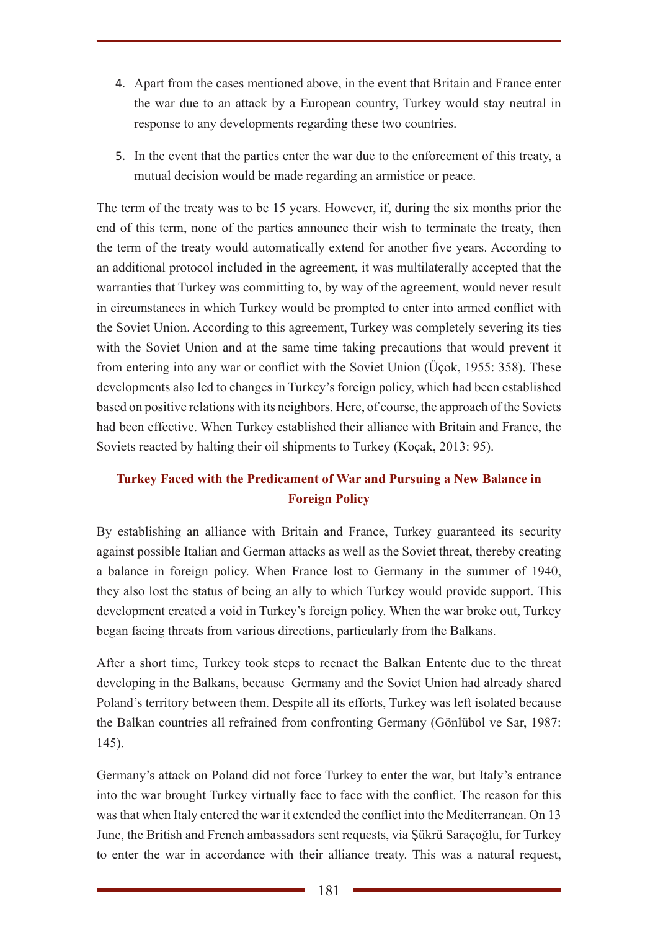- 4. Apart from the cases mentioned above, in the event that Britain and France enter the war due to an attack by a European country, Turkey would stay neutral in response to any developments regarding these two countries.
- 5. In the event that the parties enter the war due to the enforcement of this treaty, a mutual decision would be made regarding an armistice or peace.

The term of the treaty was to be 15 years. However, if, during the six months prior the end of this term, none of the parties announce their wish to terminate the treaty, then the term of the treaty would automatically extend for another five years. According to an additional protocol included in the agreement, it was multilaterally accepted that the warranties that Turkey was committing to, by way of the agreement, would never result in circumstances in which Turkey would be prompted to enter into armed conflict with the Soviet Union. According to this agreement, Turkey was completely severing its ties with the Soviet Union and at the same time taking precautions that would prevent it from entering into any war or conflict with the Soviet Union (Üçok, 1955: 358). These developments also led to changes in Turkey's foreign policy, which had been established based on positive relations with its neighbors. Here, of course, the approach of the Soviets had been effective. When Turkey established their alliance with Britain and France, the Soviets reacted by halting their oil shipments to Turkey (Koçak, 2013: 95).

## **Turkey Faced with the Predicament of War and Pursuing a New Balance in Foreign Policy**

By establishing an alliance with Britain and France, Turkey guaranteed its security against possible Italian and German attacks as well as the Soviet threat, thereby creating a balance in foreign policy. When France lost to Germany in the summer of 1940, they also lost the status of being an ally to which Turkey would provide support. This development created a void in Turkey's foreign policy. When the war broke out, Turkey began facing threats from various directions, particularly from the Balkans.

After a short time, Turkey took steps to reenact the Balkan Entente due to the threat developing in the Balkans, because Germany and the Soviet Union had already shared Poland's territory between them. Despite all its efforts, Turkey was left isolated because the Balkan countries all refrained from confronting Germany (Gönlübol ve Sar, 1987: 145).

Germany's attack on Poland did not force Turkey to enter the war, but Italy's entrance into the war brought Turkey virtually face to face with the conflict. The reason for this was that when Italy entered the war it extended the conflict into the Mediterranean. On 13 June, the British and French ambassadors sent requests, via Şükrü Saraçoğlu, for Turkey to enter the war in accordance with their alliance treaty. This was a natural request,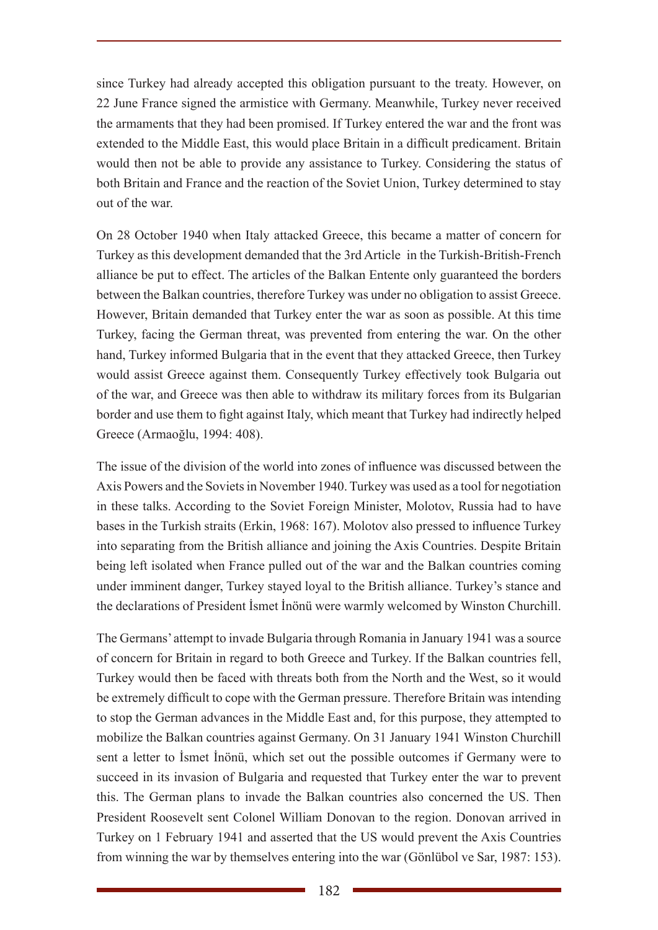since Turkey had already accepted this obligation pursuant to the treaty. However, on 22 June France signed the armistice with Germany. Meanwhile, Turkey never received the armaments that they had been promised. If Turkey entered the war and the front was extended to the Middle East, this would place Britain in a difficult predicament. Britain would then not be able to provide any assistance to Turkey. Considering the status of both Britain and France and the reaction of the Soviet Union, Turkey determined to stay out of the war.

On 28 October 1940 when Italy attacked Greece, this became a matter of concern for Turkey as this development demanded that the 3rd Article in the Turkish-British-French alliance be put to effect. The articles of the Balkan Entente only guaranteed the borders between the Balkan countries, therefore Turkey was under no obligation to assist Greece. However, Britain demanded that Turkey enter the war as soon as possible. At this time Turkey, facing the German threat, was prevented from entering the war. On the other hand, Turkey informed Bulgaria that in the event that they attacked Greece, then Turkey would assist Greece against them. Consequently Turkey effectively took Bulgaria out of the war, and Greece was then able to withdraw its military forces from its Bulgarian border and use them to fight against Italy, which meant that Turkey had indirectly helped Greece (Armaoğlu, 1994: 408).

The issue of the division of the world into zones of influence was discussed between the Axis Powers and the Soviets in November 1940. Turkey was used as a tool for negotiation in these talks. According to the Soviet Foreign Minister, Molotov, Russia had to have bases in the Turkish straits (Erkin, 1968: 167). Molotov also pressed to influence Turkey into separating from the British alliance and joining the Axis Countries. Despite Britain being left isolated when France pulled out of the war and the Balkan countries coming under imminent danger, Turkey stayed loyal to the British alliance. Turkey's stance and the declarations of President İsmet İnönü were warmly welcomed by Winston Churchill.

The Germans' attempt to invade Bulgaria through Romania in January 1941 was a source of concern for Britain in regard to both Greece and Turkey. If the Balkan countries fell, Turkey would then be faced with threats both from the North and the West, so it would be extremely difficult to cope with the German pressure. Therefore Britain was intending to stop the German advances in the Middle East and, for this purpose, they attempted to mobilize the Balkan countries against Germany. On 31 January 1941 Winston Churchill sent a letter to İsmet İnönü, which set out the possible outcomes if Germany were to succeed in its invasion of Bulgaria and requested that Turkey enter the war to prevent this. The German plans to invade the Balkan countries also concerned the US. Then President Roosevelt sent Colonel William Donovan to the region. Donovan arrived in Turkey on 1 February 1941 and asserted that the US would prevent the Axis Countries from winning the war by themselves entering into the war (Gönlübol ve Sar, 1987: 153).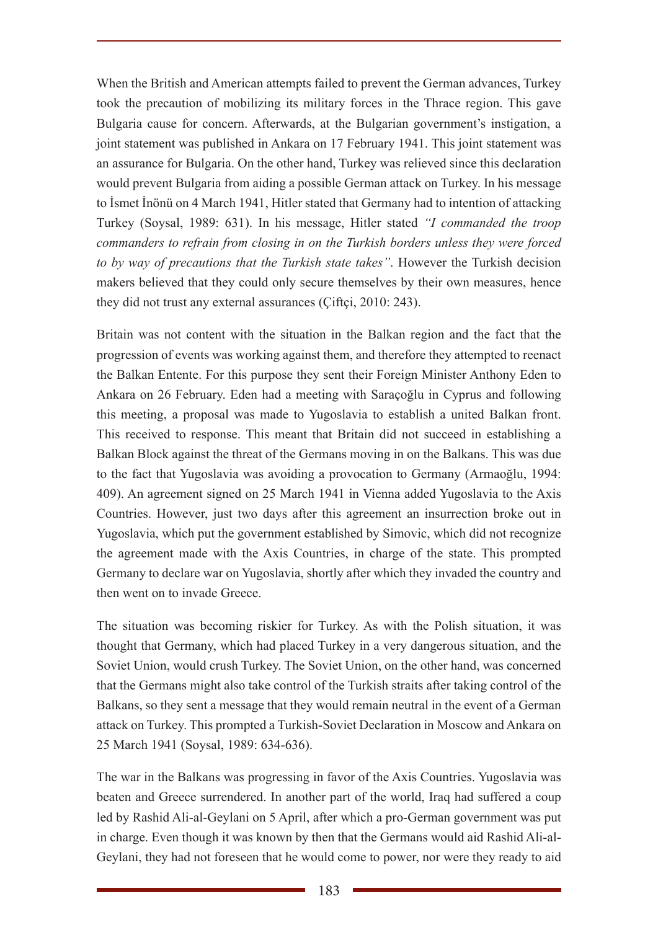When the British and American attempts failed to prevent the German advances, Turkey took the precaution of mobilizing its military forces in the Thrace region. This gave Bulgaria cause for concern. Afterwards, at the Bulgarian government's instigation, a joint statement was published in Ankara on 17 February 1941. This joint statement was an assurance for Bulgaria. On the other hand, Turkey was relieved since this declaration would prevent Bulgaria from aiding a possible German attack on Turkey. In his message to İsmet İnönü on 4 March 1941, Hitler stated that Germany had to intention of attacking Turkey (Soysal, 1989: 631). In his message, Hitler stated *"I commanded the troop commanders to refrain from closing in on the Turkish borders unless they were forced to by way of precautions that the Turkish state takes"*. However the Turkish decision makers believed that they could only secure themselves by their own measures, hence they did not trust any external assurances (Çiftçi, 2010: 243).

Britain was not content with the situation in the Balkan region and the fact that the progression of events was working against them, and therefore they attempted to reenact the Balkan Entente. For this purpose they sent their Foreign Minister Anthony Eden to Ankara on 26 February. Eden had a meeting with Saraçoğlu in Cyprus and following this meeting, a proposal was made to Yugoslavia to establish a united Balkan front. This received to response. This meant that Britain did not succeed in establishing a Balkan Block against the threat of the Germans moving in on the Balkans. This was due to the fact that Yugoslavia was avoiding a provocation to Germany (Armaoğlu, 1994: 409). An agreement signed on 25 March 1941 in Vienna added Yugoslavia to the Axis Countries. However, just two days after this agreement an insurrection broke out in Yugoslavia, which put the government established by Simovic, which did not recognize the agreement made with the Axis Countries, in charge of the state. This prompted Germany to declare war on Yugoslavia, shortly after which they invaded the country and then went on to invade Greece.

The situation was becoming riskier for Turkey. As with the Polish situation, it was thought that Germany, which had placed Turkey in a very dangerous situation, and the Soviet Union, would crush Turkey. The Soviet Union, on the other hand, was concerned that the Germans might also take control of the Turkish straits after taking control of the Balkans, so they sent a message that they would remain neutral in the event of a German attack on Turkey. This prompted a Turkish-Soviet Declaration in Moscow and Ankara on 25 March 1941 (Soysal, 1989: 634-636).

The war in the Balkans was progressing in favor of the Axis Countries. Yugoslavia was beaten and Greece surrendered. In another part of the world, Iraq had suffered a coup led by Rashid Ali-al-Geylani on 5 April, after which a pro-German government was put in charge. Even though it was known by then that the Germans would aid Rashid Ali-al-Geylani, they had not foreseen that he would come to power, nor were they ready to aid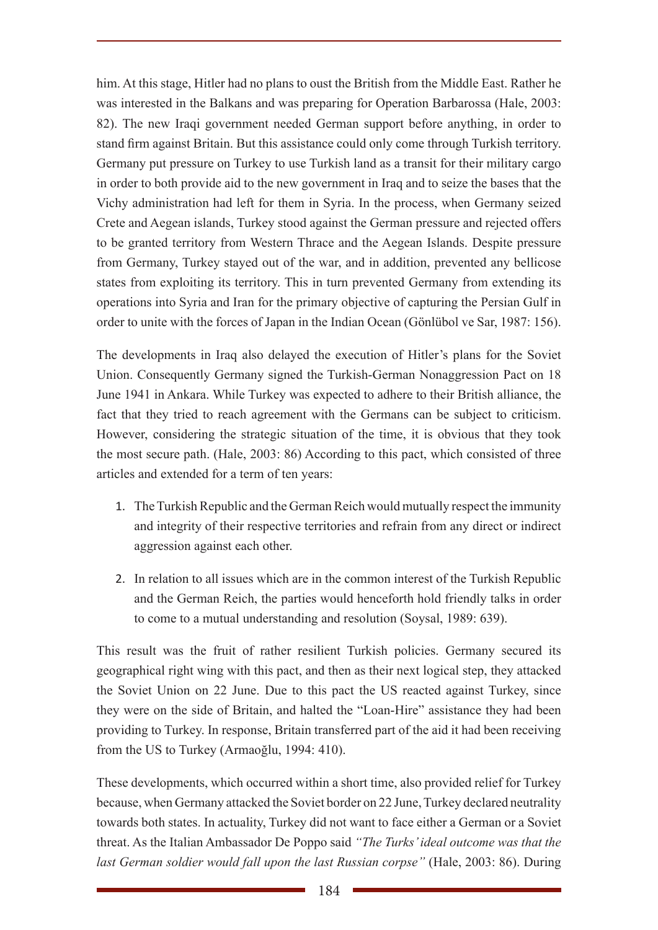him. At this stage, Hitler had no plans to oust the British from the Middle East. Rather he was interested in the Balkans and was preparing for Operation Barbarossa (Hale, 2003: 82). The new Iraqi government needed German support before anything, in order to stand firm against Britain. But this assistance could only come through Turkish territory. Germany put pressure on Turkey to use Turkish land as a transit for their military cargo in order to both provide aid to the new government in Iraq and to seize the bases that the Vichy administration had left for them in Syria. In the process, when Germany seized Crete and Aegean islands, Turkey stood against the German pressure and rejected offers to be granted territory from Western Thrace and the Aegean Islands. Despite pressure from Germany, Turkey stayed out of the war, and in addition, prevented any bellicose states from exploiting its territory. This in turn prevented Germany from extending its operations into Syria and Iran for the primary objective of capturing the Persian Gulf in order to unite with the forces of Japan in the Indian Ocean (Gönlübol ve Sar, 1987: 156).

The developments in Iraq also delayed the execution of Hitler's plans for the Soviet Union. Consequently Germany signed the Turkish-German Nonaggression Pact on 18 June 1941 in Ankara. While Turkey was expected to adhere to their British alliance, the fact that they tried to reach agreement with the Germans can be subject to criticism. However, considering the strategic situation of the time, it is obvious that they took the most secure path. (Hale, 2003: 86) According to this pact, which consisted of three articles and extended for a term of ten years:

- 1. The Turkish Republic and the German Reich would mutually respect the immunity and integrity of their respective territories and refrain from any direct or indirect aggression against each other.
- 2. In relation to all issues which are in the common interest of the Turkish Republic and the German Reich, the parties would henceforth hold friendly talks in order to come to a mutual understanding and resolution (Soysal, 1989: 639).

This result was the fruit of rather resilient Turkish policies. Germany secured its geographical right wing with this pact, and then as their next logical step, they attacked the Soviet Union on 22 June. Due to this pact the US reacted against Turkey, since they were on the side of Britain, and halted the "Loan-Hire" assistance they had been providing to Turkey. In response, Britain transferred part of the aid it had been receiving from the US to Turkey (Armaoğlu, 1994: 410).

These developments, which occurred within a short time, also provided relief for Turkey because, when Germany attacked the Soviet border on 22 June, Turkey declared neutrality towards both states. In actuality, Turkey did not want to face either a German or a Soviet threat. As the Italian Ambassador De Poppo said *"The Turks' ideal outcome was that the last German soldier would fall upon the last Russian corpse"* (Hale, 2003: 86). During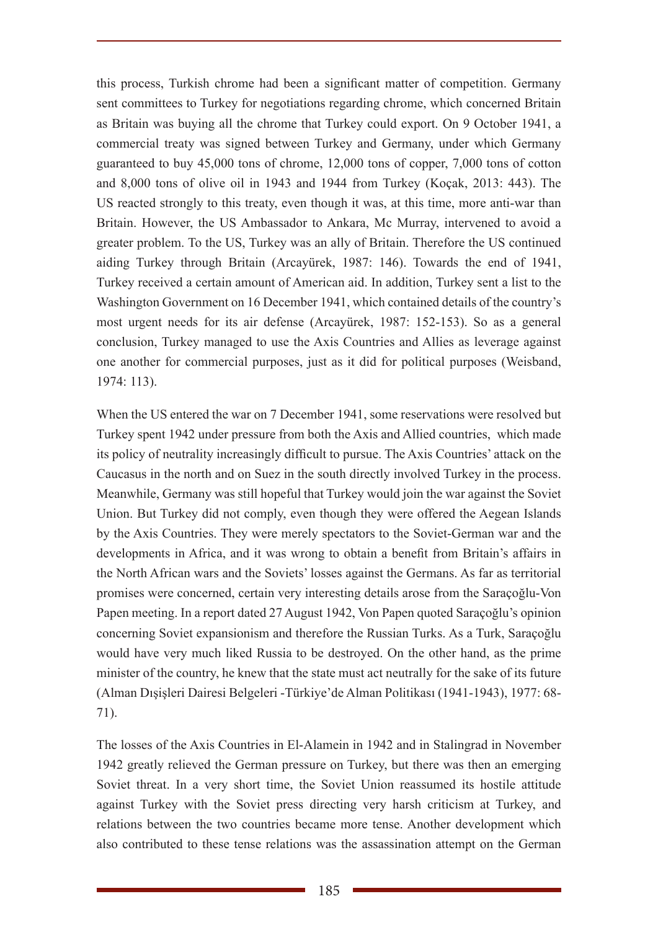this process, Turkish chrome had been a significant matter of competition. Germany sent committees to Turkey for negotiations regarding chrome, which concerned Britain as Britain was buying all the chrome that Turkey could export. On 9 October 1941, a commercial treaty was signed between Turkey and Germany, under which Germany guaranteed to buy 45,000 tons of chrome, 12,000 tons of copper, 7,000 tons of cotton and 8,000 tons of olive oil in 1943 and 1944 from Turkey (Koçak, 2013: 443). The US reacted strongly to this treaty, even though it was, at this time, more anti-war than Britain. However, the US Ambassador to Ankara, Mc Murray, intervened to avoid a greater problem. To the US, Turkey was an ally of Britain. Therefore the US continued aiding Turkey through Britain (Arcayürek, 1987: 146). Towards the end of 1941, Turkey received a certain amount of American aid. In addition, Turkey sent a list to the Washington Government on 16 December 1941, which contained details of the country's most urgent needs for its air defense (Arcayürek, 1987: 152-153). So as a general conclusion, Turkey managed to use the Axis Countries and Allies as leverage against one another for commercial purposes, just as it did for political purposes (Weisband, 1974: 113).

When the US entered the war on 7 December 1941, some reservations were resolved but Turkey spent 1942 under pressure from both the Axis and Allied countries, which made its policy of neutrality increasingly difficult to pursue. The Axis Countries' attack on the Caucasus in the north and on Suez in the south directly involved Turkey in the process. Meanwhile, Germany was still hopeful that Turkey would join the war against the Soviet Union. But Turkey did not comply, even though they were offered the Aegean Islands by the Axis Countries. They were merely spectators to the Soviet-German war and the developments in Africa, and it was wrong to obtain a benefit from Britain's affairs in the North African wars and the Soviets' losses against the Germans. As far as territorial promises were concerned, certain very interesting details arose from the Saraçoğlu-Von Papen meeting. In a report dated 27 August 1942, Von Papen quoted Saraçoğlu's opinion concerning Soviet expansionism and therefore the Russian Turks. As a Turk, Saraçoğlu would have very much liked Russia to be destroyed. On the other hand, as the prime minister of the country, he knew that the state must act neutrally for the sake of its future (Alman Dışişleri Dairesi Belgeleri -Türkiye'de Alman Politikası (1941-1943), 1977: 68- 71).

The losses of the Axis Countries in El-Alamein in 1942 and in Stalingrad in November 1942 greatly relieved the German pressure on Turkey, but there was then an emerging Soviet threat. In a very short time, the Soviet Union reassumed its hostile attitude against Turkey with the Soviet press directing very harsh criticism at Turkey, and relations between the two countries became more tense. Another development which also contributed to these tense relations was the assassination attempt on the German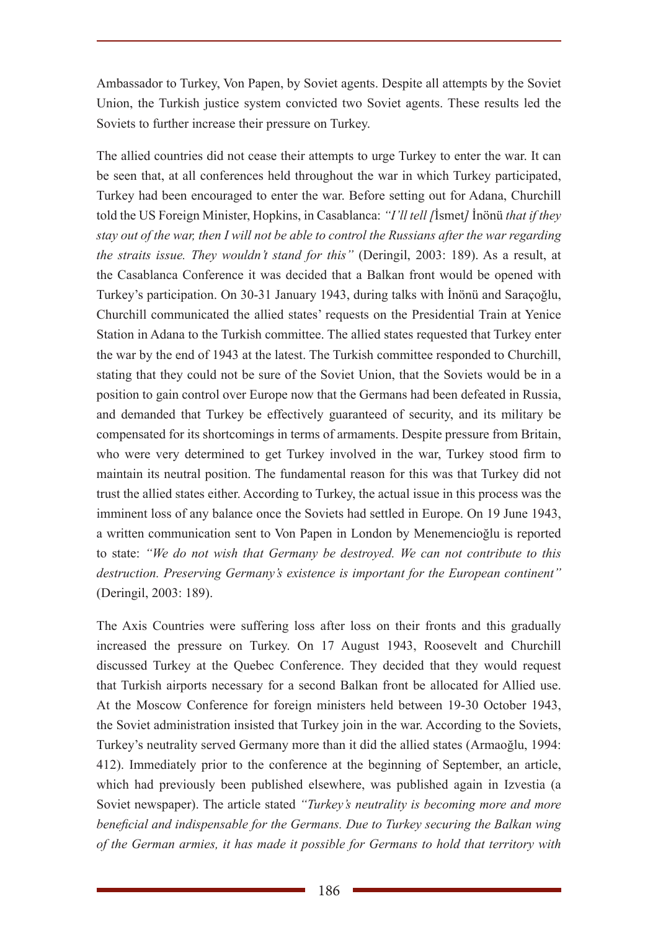Ambassador to Turkey, Von Papen, by Soviet agents. Despite all attempts by the Soviet Union, the Turkish justice system convicted two Soviet agents. These results led the Soviets to further increase their pressure on Turkey.

The allied countries did not cease their attempts to urge Turkey to enter the war. It can be seen that, at all conferences held throughout the war in which Turkey participated, Turkey had been encouraged to enter the war. Before setting out for Adana, Churchill told the US Foreign Minister, Hopkins, in Casablanca: *"I'll tell [*İsmet*]* İnönü *that if they stay out of the war, then I will not be able to control the Russians after the war regarding the straits issue. They wouldn't stand for this"* (Deringil, 2003: 189). As a result, at the Casablanca Conference it was decided that a Balkan front would be opened with Turkey's participation. On 30-31 January 1943, during talks with İnönü and Saraçoğlu, Churchill communicated the allied states' requests on the Presidential Train at Yenice Station in Adana to the Turkish committee. The allied states requested that Turkey enter the war by the end of 1943 at the latest. The Turkish committee responded to Churchill, stating that they could not be sure of the Soviet Union, that the Soviets would be in a position to gain control over Europe now that the Germans had been defeated in Russia, and demanded that Turkey be effectively guaranteed of security, and its military be compensated for its shortcomings in terms of armaments. Despite pressure from Britain, who were very determined to get Turkey involved in the war, Turkey stood firm to maintain its neutral position. The fundamental reason for this was that Turkey did not trust the allied states either. According to Turkey, the actual issue in this process was the imminent loss of any balance once the Soviets had settled in Europe. On 19 June 1943, a written communication sent to Von Papen in London by Menemencioğlu is reported to state: *"We do not wish that Germany be destroyed. We can not contribute to this destruction. Preserving Germany's existence is important for the European continent"* (Deringil, 2003: 189).

The Axis Countries were suffering loss after loss on their fronts and this gradually increased the pressure on Turkey. On 17 August 1943, Roosevelt and Churchill discussed Turkey at the Quebec Conference. They decided that they would request that Turkish airports necessary for a second Balkan front be allocated for Allied use. At the Moscow Conference for foreign ministers held between 19-30 October 1943, the Soviet administration insisted that Turkey join in the war. According to the Soviets, Turkey's neutrality served Germany more than it did the allied states (Armaoğlu, 1994: 412). Immediately prior to the conference at the beginning of September, an article, which had previously been published elsewhere, was published again in Izvestia (a Soviet newspaper). The article stated *"Turkey's neutrality is becoming more and more beneficial and indispensable for the Germans. Due to Turkey securing the Balkan wing of the German armies, it has made it possible for Germans to hold that territory with*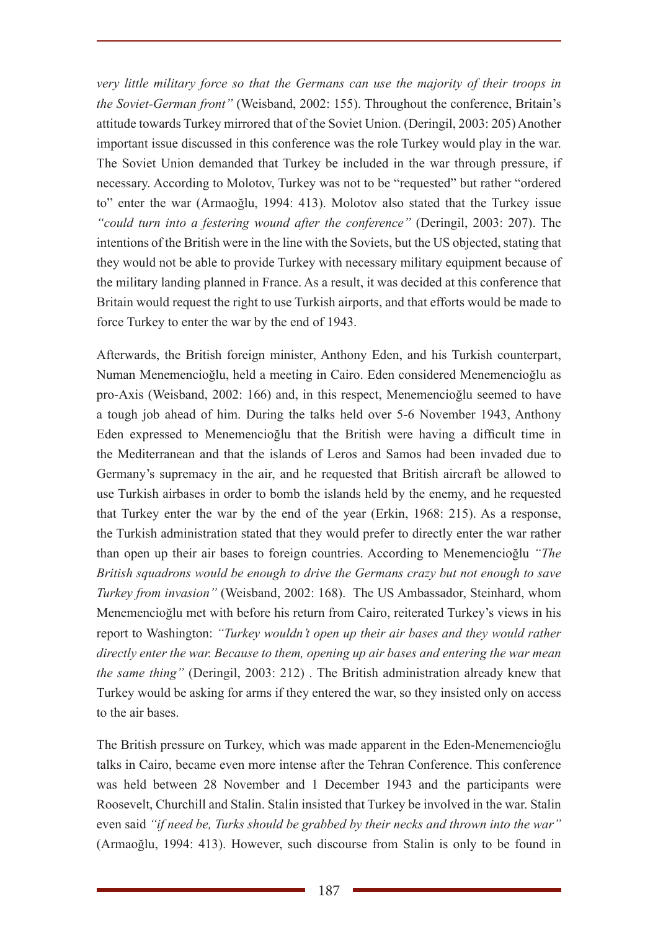*very little military force so that the Germans can use the majority of their troops in the Soviet-German front"* (Weisband, 2002: 155). Throughout the conference, Britain's attitude towards Turkey mirrored that of the Soviet Union. (Deringil, 2003: 205) Another important issue discussed in this conference was the role Turkey would play in the war. The Soviet Union demanded that Turkey be included in the war through pressure, if necessary. According to Molotov, Turkey was not to be "requested" but rather "ordered to" enter the war (Armaoğlu, 1994: 413). Molotov also stated that the Turkey issue *"could turn into a festering wound after the conference"* (Deringil, 2003: 207). The intentions of the British were in the line with the Soviets, but the US objected, stating that they would not be able to provide Turkey with necessary military equipment because of the military landing planned in France. As a result, it was decided at this conference that Britain would request the right to use Turkish airports, and that efforts would be made to force Turkey to enter the war by the end of 1943.

Afterwards, the British foreign minister, Anthony Eden, and his Turkish counterpart, Numan Menemencioğlu, held a meeting in Cairo. Eden considered Menemencioğlu as pro-Axis (Weisband, 2002: 166) and, in this respect, Menemencioğlu seemed to have a tough job ahead of him. During the talks held over 5-6 November 1943, Anthony Eden expressed to Menemencioğlu that the British were having a difficult time in the Mediterranean and that the islands of Leros and Samos had been invaded due to Germany's supremacy in the air, and he requested that British aircraft be allowed to use Turkish airbases in order to bomb the islands held by the enemy, and he requested that Turkey enter the war by the end of the year (Erkin, 1968: 215). As a response, the Turkish administration stated that they would prefer to directly enter the war rather than open up their air bases to foreign countries. According to Menemencioğlu *"The British squadrons would be enough to drive the Germans crazy but not enough to save Turkey from invasion"* (Weisband, 2002: 168). The US Ambassador, Steinhard, whom Menemencioğlu met with before his return from Cairo, reiterated Turkey's views in his report to Washington: *"Turkey wouldn't open up their air bases and they would rather directly enter the war. Because to them, opening up air bases and entering the war mean the same thing"* (Deringil, 2003: 212) . The British administration already knew that Turkey would be asking for arms if they entered the war, so they insisted only on access to the air bases.

The British pressure on Turkey, which was made apparent in the Eden-Menemencioğlu talks in Cairo, became even more intense after the Tehran Conference. This conference was held between 28 November and 1 December 1943 and the participants were Roosevelt, Churchill and Stalin. Stalin insisted that Turkey be involved in the war. Stalin even said *"if need be, Turks should be grabbed by their necks and thrown into the war"* (Armaoğlu, 1994: 413). However, such discourse from Stalin is only to be found in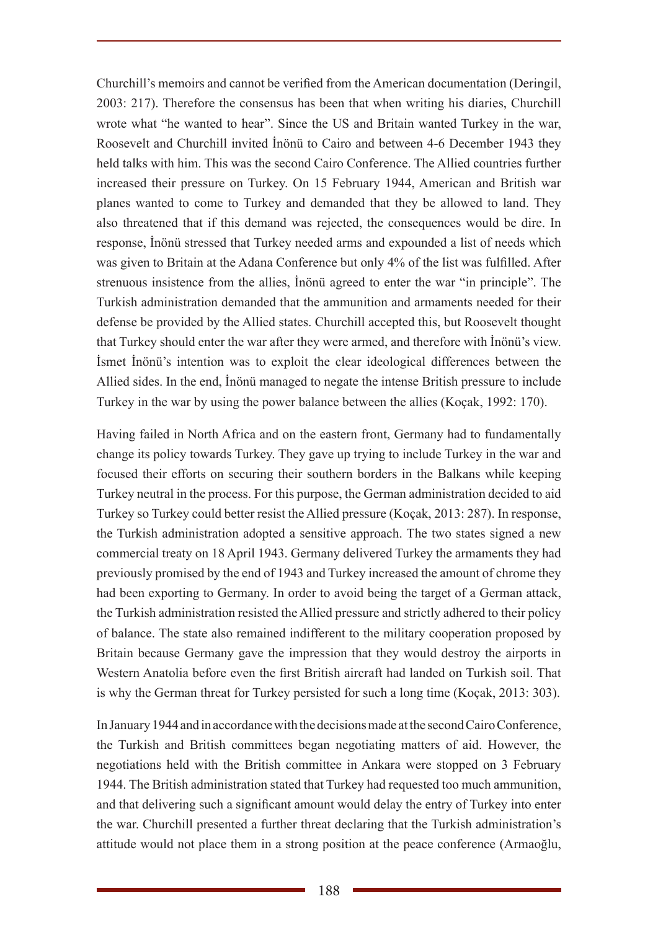Churchill's memoirs and cannot be verified from the American documentation (Deringil, 2003: 217). Therefore the consensus has been that when writing his diaries, Churchill wrote what "he wanted to hear". Since the US and Britain wanted Turkey in the war, Roosevelt and Churchill invited İnönü to Cairo and between 4-6 December 1943 they held talks with him. This was the second Cairo Conference. The Allied countries further increased their pressure on Turkey. On 15 February 1944, American and British war planes wanted to come to Turkey and demanded that they be allowed to land. They also threatened that if this demand was rejected, the consequences would be dire. In response, İnönü stressed that Turkey needed arms and expounded a list of needs which was given to Britain at the Adana Conference but only 4% of the list was fulfilled. After strenuous insistence from the allies, İnönü agreed to enter the war "in principle". The Turkish administration demanded that the ammunition and armaments needed for their defense be provided by the Allied states. Churchill accepted this, but Roosevelt thought that Turkey should enter the war after they were armed, and therefore with İnönü's view. İsmet İnönü's intention was to exploit the clear ideological differences between the Allied sides. In the end, İnönü managed to negate the intense British pressure to include Turkey in the war by using the power balance between the allies (Koçak, 1992: 170).

Having failed in North Africa and on the eastern front, Germany had to fundamentally change its policy towards Turkey. They gave up trying to include Turkey in the war and focused their efforts on securing their southern borders in the Balkans while keeping Turkey neutral in the process. For this purpose, the German administration decided to aid Turkey so Turkey could better resist the Allied pressure (Koçak, 2013: 287). In response, the Turkish administration adopted a sensitive approach. The two states signed a new commercial treaty on 18 April 1943. Germany delivered Turkey the armaments they had previously promised by the end of 1943 and Turkey increased the amount of chrome they had been exporting to Germany. In order to avoid being the target of a German attack, the Turkish administration resisted the Allied pressure and strictly adhered to their policy of balance. The state also remained indifferent to the military cooperation proposed by Britain because Germany gave the impression that they would destroy the airports in Western Anatolia before even the first British aircraft had landed on Turkish soil. That is why the German threat for Turkey persisted for such a long time (Koçak, 2013: 303).

In January 1944 and in accordance with the decisions made at the second Cairo Conference, the Turkish and British committees began negotiating matters of aid. However, the negotiations held with the British committee in Ankara were stopped on 3 February 1944. The British administration stated that Turkey had requested too much ammunition, and that delivering such a significant amount would delay the entry of Turkey into enter the war. Churchill presented a further threat declaring that the Turkish administration's attitude would not place them in a strong position at the peace conference (Armaoğlu,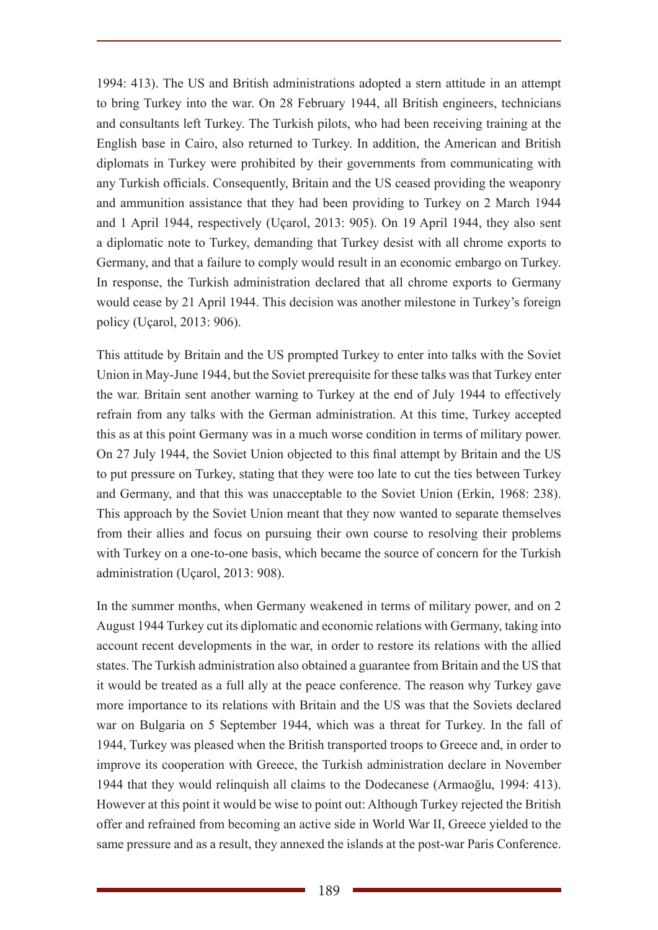1994: 413). The US and British administrations adopted a stern attitude in an attempt to bring Turkey into the war. On 28 February 1944, all British engineers, technicians and consultants left Turkey. The Turkish pilots, who had been receiving training at the English base in Cairo, also returned to Turkey. In addition, the American and British diplomats in Turkey were prohibited by their governments from communicating with any Turkish officials. Consequently, Britain and the US ceased providing the weaponry and ammunition assistance that they had been providing to Turkey on 2 March 1944 and 1 April 1944, respectively (Uçarol, 2013: 905). On 19 April 1944, they also sent a diplomatic note to Turkey, demanding that Turkey desist with all chrome exports to Germany, and that a failure to comply would result in an economic embargo on Turkey. In response, the Turkish administration declared that all chrome exports to Germany would cease by 21 April 1944. This decision was another milestone in Turkey's foreign policy (Uçarol, 2013: 906).

This attitude by Britain and the US prompted Turkey to enter into talks with the Soviet Union in May-June 1944, but the Soviet prerequisite for these talks was that Turkey enter the war. Britain sent another warning to Turkey at the end of July 1944 to effectively refrain from any talks with the German administration. At this time, Turkey accepted this as at this point Germany was in a much worse condition in terms of military power. On 27 July 1944, the Soviet Union objected to this final attempt by Britain and the US to put pressure on Turkey, stating that they were too late to cut the ties between Turkey and Germany, and that this was unacceptable to the Soviet Union (Erkin, 1968: 238). This approach by the Soviet Union meant that they now wanted to separate themselves from their allies and focus on pursuing their own course to resolving their problems with Turkey on a one-to-one basis, which became the source of concern for the Turkish administration (Uçarol, 2013: 908).

In the summer months, when Germany weakened in terms of military power, and on 2 August 1944 Turkey cut its diplomatic and economic relations with Germany, taking into account recent developments in the war, in order to restore its relations with the allied states. The Turkish administration also obtained a guarantee from Britain and the US that it would be treated as a full ally at the peace conference. The reason why Turkey gave more importance to its relations with Britain and the US was that the Soviets declared war on Bulgaria on 5 September 1944, which was a threat for Turkey. In the fall of 1944, Turkey was pleased when the British transported troops to Greece and, in order to improve its cooperation with Greece, the Turkish administration declare in November 1944 that they would relinquish all claims to the Dodecanese (Armaoğlu, 1994: 413). However at this point it would be wise to point out: Although Turkey rejected the British offer and refrained from becoming an active side in World War II, Greece yielded to the same pressure and as a result, they annexed the islands at the post-war Paris Conference.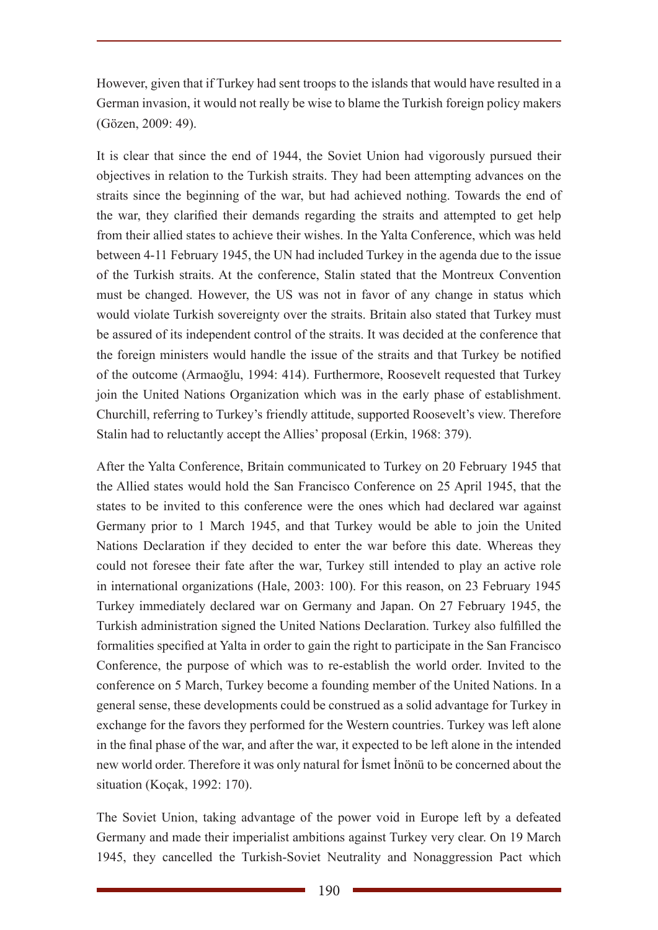However, given that if Turkey had sent troops to the islands that would have resulted in a German invasion, it would not really be wise to blame the Turkish foreign policy makers (Gözen, 2009: 49).

It is clear that since the end of 1944, the Soviet Union had vigorously pursued their objectives in relation to the Turkish straits. They had been attempting advances on the straits since the beginning of the war, but had achieved nothing. Towards the end of the war, they clarified their demands regarding the straits and attempted to get help from their allied states to achieve their wishes. In the Yalta Conference, which was held between 4-11 February 1945, the UN had included Turkey in the agenda due to the issue of the Turkish straits. At the conference, Stalin stated that the Montreux Convention must be changed. However, the US was not in favor of any change in status which would violate Turkish sovereignty over the straits. Britain also stated that Turkey must be assured of its independent control of the straits. It was decided at the conference that the foreign ministers would handle the issue of the straits and that Turkey be notified of the outcome (Armaoğlu, 1994: 414). Furthermore, Roosevelt requested that Turkey join the United Nations Organization which was in the early phase of establishment. Churchill, referring to Turkey's friendly attitude, supported Roosevelt's view. Therefore Stalin had to reluctantly accept the Allies' proposal (Erkin, 1968: 379).

After the Yalta Conference, Britain communicated to Turkey on 20 February 1945 that the Allied states would hold the San Francisco Conference on 25 April 1945, that the states to be invited to this conference were the ones which had declared war against Germany prior to 1 March 1945, and that Turkey would be able to join the United Nations Declaration if they decided to enter the war before this date. Whereas they could not foresee their fate after the war, Turkey still intended to play an active role in international organizations (Hale, 2003: 100). For this reason, on 23 February 1945 Turkey immediately declared war on Germany and Japan. On 27 February 1945, the Turkish administration signed the United Nations Declaration. Turkey also fulfilled the formalities specified at Yalta in order to gain the right to participate in the San Francisco Conference, the purpose of which was to re-establish the world order. Invited to the conference on 5 March, Turkey become a founding member of the United Nations. In a general sense, these developments could be construed as a solid advantage for Turkey in exchange for the favors they performed for the Western countries. Turkey was left alone in the final phase of the war, and after the war, it expected to be left alone in the intended new world order. Therefore it was only natural for İsmet İnönü to be concerned about the situation (Koçak, 1992: 170).

The Soviet Union, taking advantage of the power void in Europe left by a defeated Germany and made their imperialist ambitions against Turkey very clear. On 19 March 1945, they cancelled the Turkish-Soviet Neutrality and Nonaggression Pact which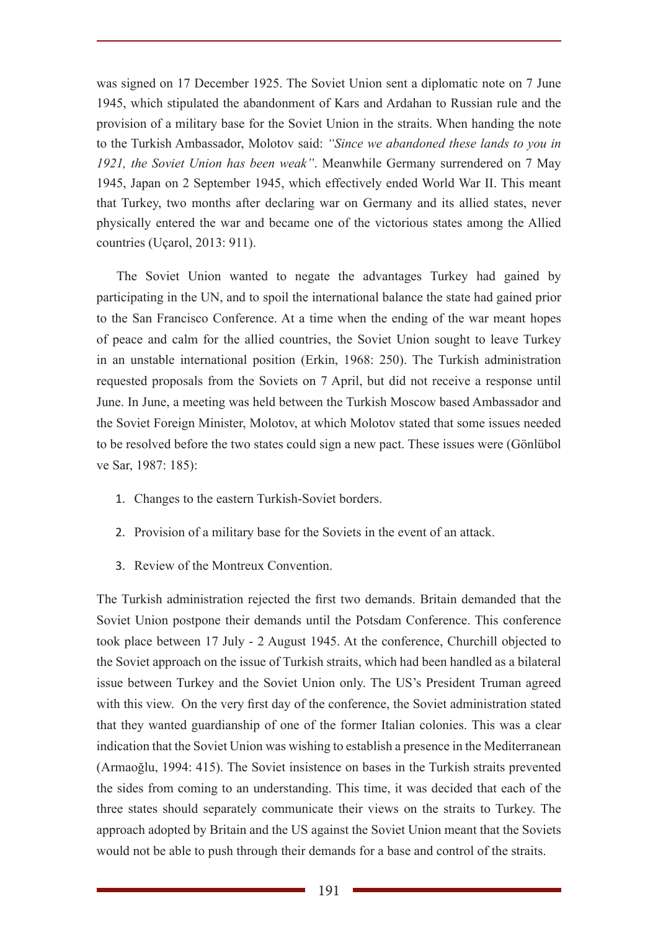was signed on 17 December 1925. The Soviet Union sent a diplomatic note on 7 June 1945, which stipulated the abandonment of Kars and Ardahan to Russian rule and the provision of a military base for the Soviet Union in the straits. When handing the note to the Turkish Ambassador, Molotov said: *"Since we abandoned these lands to you in 1921, the Soviet Union has been weak"*. Meanwhile Germany surrendered on 7 May 1945, Japan on 2 September 1945, which effectively ended World War II. This meant that Turkey, two months after declaring war on Germany and its allied states, never physically entered the war and became one of the victorious states among the Allied countries (Uçarol, 2013: 911).

The Soviet Union wanted to negate the advantages Turkey had gained by participating in the UN, and to spoil the international balance the state had gained prior to the San Francisco Conference. At a time when the ending of the war meant hopes of peace and calm for the allied countries, the Soviet Union sought to leave Turkey in an unstable international position (Erkin, 1968: 250). The Turkish administration requested proposals from the Soviets on 7 April, but did not receive a response until June. In June, a meeting was held between the Turkish Moscow based Ambassador and the Soviet Foreign Minister, Molotov, at which Molotov stated that some issues needed to be resolved before the two states could sign a new pact. These issues were (Gönlübol ve Sar, 1987: 185):

- 1. Changes to the eastern Turkish-Soviet borders.
- 2. Provision of a military base for the Soviets in the event of an attack.
- 3. Review of the Montreux Convention.

The Turkish administration rejected the first two demands. Britain demanded that the Soviet Union postpone their demands until the Potsdam Conference. This conference took place between 17 July - 2 August 1945. At the conference, Churchill objected to the Soviet approach on the issue of Turkish straits, which had been handled as a bilateral issue between Turkey and the Soviet Union only. The US's President Truman agreed with this view. On the very first day of the conference, the Soviet administration stated that they wanted guardianship of one of the former Italian colonies. This was a clear indication that the Soviet Union was wishing to establish a presence in the Mediterranean (Armaoğlu, 1994: 415). The Soviet insistence on bases in the Turkish straits prevented the sides from coming to an understanding. This time, it was decided that each of the three states should separately communicate their views on the straits to Turkey. The approach adopted by Britain and the US against the Soviet Union meant that the Soviets would not be able to push through their demands for a base and control of the straits.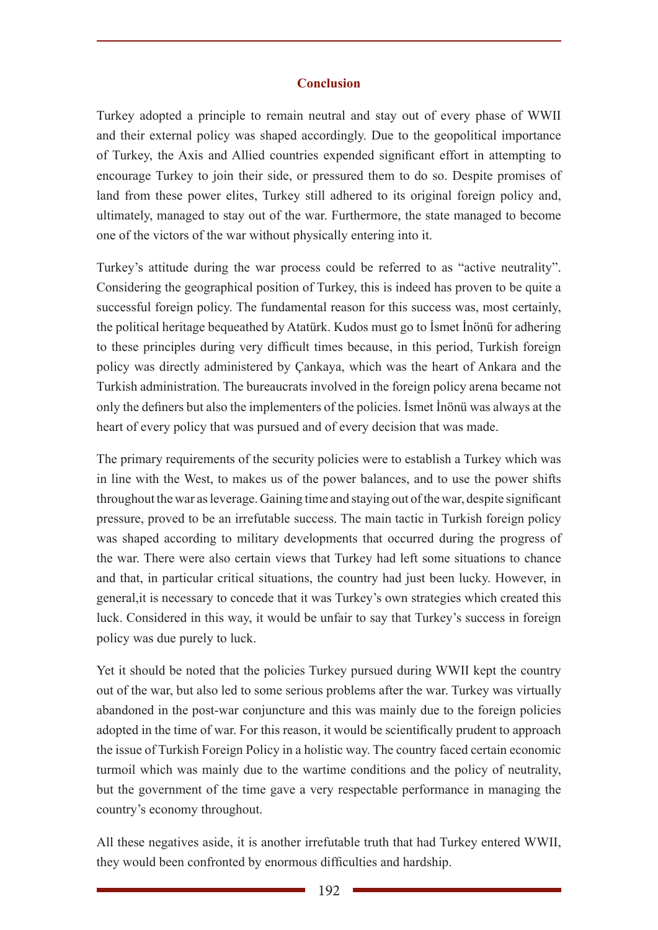### **Conclusion**

Turkey adopted a principle to remain neutral and stay out of every phase of WWII and their external policy was shaped accordingly. Due to the geopolitical importance of Turkey, the Axis and Allied countries expended significant effort in attempting to encourage Turkey to join their side, or pressured them to do so. Despite promises of land from these power elites, Turkey still adhered to its original foreign policy and, ultimately, managed to stay out of the war. Furthermore, the state managed to become one of the victors of the war without physically entering into it.

Turkey's attitude during the war process could be referred to as "active neutrality". Considering the geographical position of Turkey, this is indeed has proven to be quite a successful foreign policy. The fundamental reason for this success was, most certainly, the political heritage bequeathed by Atatürk. Kudos must go to İsmet İnönü for adhering to these principles during very difficult times because, in this period, Turkish foreign policy was directly administered by Çankaya, which was the heart of Ankara and the Turkish administration. The bureaucrats involved in the foreign policy arena became not only the definers but also the implementers of the policies. İsmet İnönü was always at the heart of every policy that was pursued and of every decision that was made.

The primary requirements of the security policies were to establish a Turkey which was in line with the West, to makes us of the power balances, and to use the power shifts throughout the war as leverage. Gaining time and staying out of the war, despite significant pressure, proved to be an irrefutable success. The main tactic in Turkish foreign policy was shaped according to military developments that occurred during the progress of the war. There were also certain views that Turkey had left some situations to chance and that, in particular critical situations, the country had just been lucky. However, in general,it is necessary to concede that it was Turkey's own strategies which created this luck. Considered in this way, it would be unfair to say that Turkey's success in foreign policy was due purely to luck.

Yet it should be noted that the policies Turkey pursued during WWII kept the country out of the war, but also led to some serious problems after the war. Turkey was virtually abandoned in the post-war conjuncture and this was mainly due to the foreign policies adopted in the time of war. For this reason, it would be scientifically prudent to approach the issue of Turkish Foreign Policy in a holistic way. The country faced certain economic turmoil which was mainly due to the wartime conditions and the policy of neutrality, but the government of the time gave a very respectable performance in managing the country's economy throughout.

All these negatives aside, it is another irrefutable truth that had Turkey entered WWII, they would been confronted by enormous difficulties and hardship.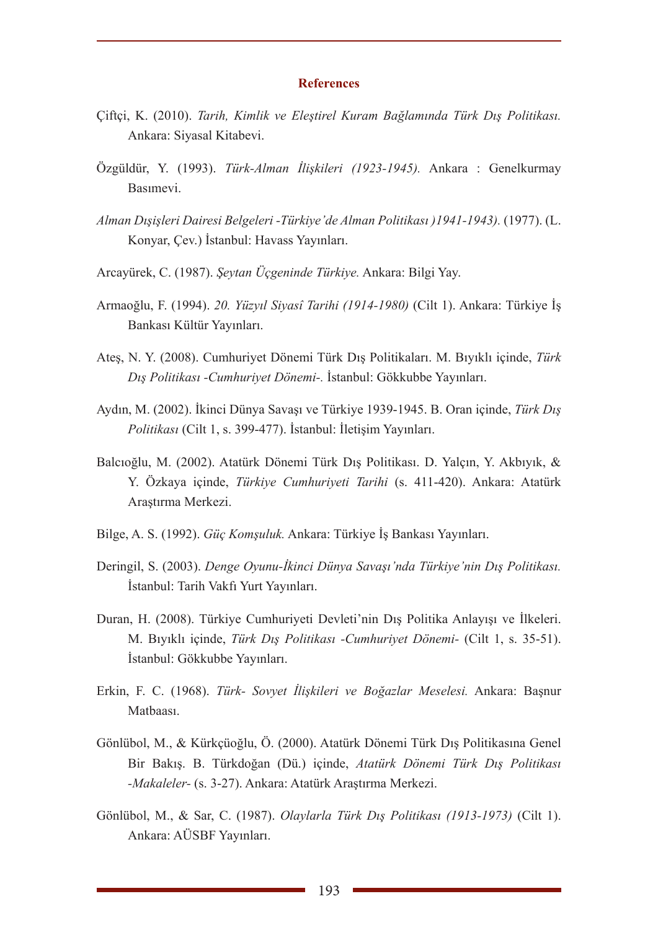#### **References**

- Çiftçi, K. (2010). *Tarih, Kimlik ve Eleştirel Kuram Bağlamında Türk Dış Politikası.* Ankara: Siyasal Kitabevi.
- Özgüldür, Y. (1993). *Türk-Alman İlişkileri (1923-1945).* Ankara : Genelkurmay Basımevi.
- *Alman Dışişleri Dairesi Belgeleri -Türkiye'de Alman Politikası )1941-1943).* (1977). (L. Konyar, Çev.) İstanbul: Havass Yayınları.
- Arcayürek, C. (1987). *Şeytan Üçgeninde Türkiye.* Ankara: Bilgi Yay.
- Armaoğlu, F. (1994). *20. Yüzyıl Siyasî Tarihi (1914-1980)* (Cilt 1). Ankara: Türkiye İş Bankası Kültür Yayınları.
- Ateş, N. Y. (2008). Cumhuriyet Dönemi Türk Dış Politikaları. M. Bıyıklı içinde, *Türk Dış Politikası -Cumhuriyet Dönemi-.* İstanbul: Gökkubbe Yayınları.
- Aydın, M. (2002). İkinci Dünya Savaşı ve Türkiye 1939-1945. B. Oran içinde, *Türk Dış Politikası* (Cilt 1, s. 399-477). İstanbul: İletişim Yayınları.
- Balcıoğlu, M. (2002). Atatürk Dönemi Türk Dış Politikası. D. Yalçın, Y. Akbıyık, & Y. Özkaya içinde, *Türkiye Cumhuriyeti Tarihi* (s. 411-420). Ankara: Atatürk Araştırma Merkezi.
- Bilge, A. S. (1992). *Güç Komşuluk.* Ankara: Türkiye İş Bankası Yayınları.
- Deringil, S. (2003). *Denge Oyunu-İkinci Dünya Savaşı'nda Türkiye'nin Dış Politikası.* İstanbul: Tarih Vakfı Yurt Yayınları.
- Duran, H. (2008). Türkiye Cumhuriyeti Devleti'nin Dış Politika Anlayışı ve İlkeleri. M. Bıyıklı içinde, *Türk Dış Politikası -Cumhuriyet Dönemi-* (Cilt 1, s. 35-51). İstanbul: Gökkubbe Yayınları.
- Erkin, F. C. (1968). *Türk- Sovyet İlişkileri ve Boğazlar Meselesi.* Ankara: Başnur Matbaası.
- Gönlübol, M., & Kürkçüoğlu, Ö. (2000). Atatürk Dönemi Türk Dış Politikasına Genel Bir Bakış. B. Türkdoğan (Dü.) içinde, *Atatürk Dönemi Türk Dış Politikası -Makaleler-* (s. 3-27). Ankara: Atatürk Araştırma Merkezi.
- Gönlübol, M., & Sar, C. (1987). *Olaylarla Türk Dış Politikası (1913-1973)* (Cilt 1). Ankara: AÜSBF Yayınları.